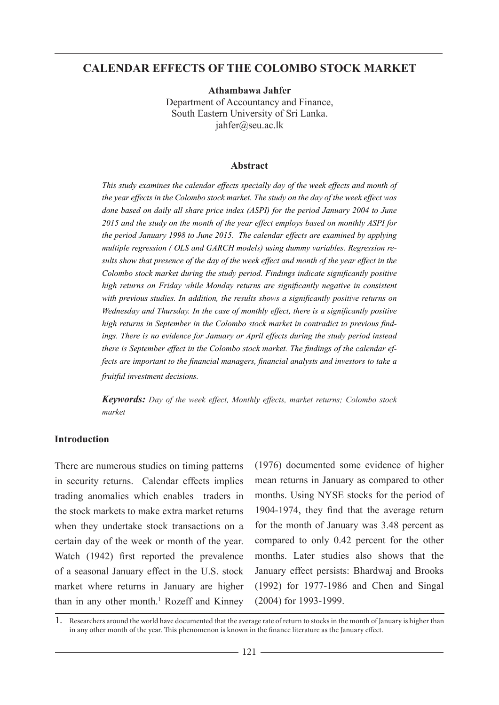## **CALENDAR EFFECTS OF THE COLOMBO STOCK MARKET**

**Athambawa Jahfer**  Department of Accountancy and Finance, South Eastern University of Sri Lanka. jahfer@seu.ac.lk

#### **Abstract**

*This study examines the calendar effects specially day of the week effects and month of the year effects in the Colombo stock market. The study on the day of the week effect was done based on daily all share price index (ASPI) for the period January 2004 to June 2015 and the study on the month of the year effect employs based on monthly ASPI for the period January 1998 to June 2015. The calendar effects are examined by applying multiple regression ( OLS and GARCH models) using dummy variables. Regression results show that presence of the day of the week effect and month of the year effect in the Colombo stock market during the study period. Findings indicate significantly positive high returns on Friday while Monday returns are significantly negative in consistent with previous studies. In addition, the results shows a significantly positive returns on Wednesday and Thursday. In the case of monthly effect, there is a significantly positive high returns in September in the Colombo stock market in contradict to previous findings. There is no evidence for January or April effects during the study period instead there is September effect in the Colombo stock market. The findings of the calendar effects are important to the financial managers, financial analysts and investors to take a fruitful investment decisions.*

*Keywords: Day of the week effect, Monthly effects, market returns; Colombo stock market*

#### **Introduction**

There are numerous studies on timing patterns in security returns. Calendar effects implies trading anomalies which enables traders in the stock markets to make extra market returns when they undertake stock transactions on a certain day of the week or month of the year. Watch (1942) first reported the prevalence of a seasonal January effect in the U.S. stock market where returns in January are higher than in any other month.<sup>1</sup> Rozeff and Kinney (1976) documented some evidence of higher mean returns in January as compared to other months. Using NYSE stocks for the period of 1904-1974, they find that the average return for the month of January was 3.48 percent as compared to only 0.42 percent for the other months. Later studies also shows that the January effect persists: Bhardwaj and Brooks (1992) for 1977-1986 and Chen and Singal (2004) for 1993-1999.

1. Researchers around the world have documented that the average rate of return to stocks in the month of January is higher than in any other month of the year. This phenomenon is known in the finance literature as the January effect.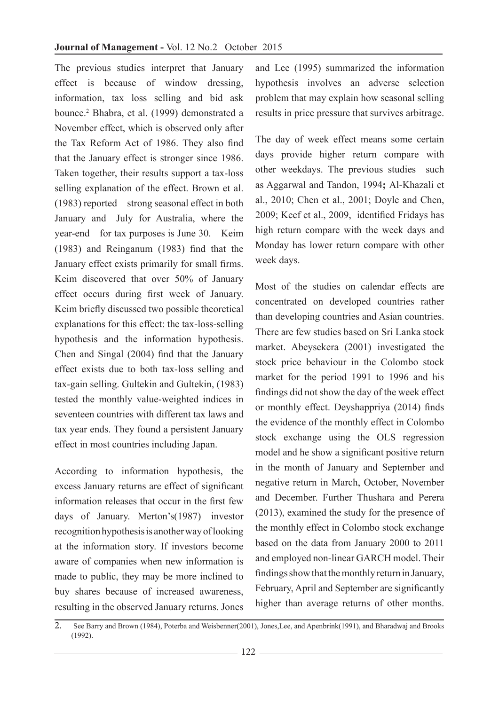The previous studies interpret that January effect is because of window dressing, information, tax loss selling and bid ask bounce.2 Bhabra, et al. (1999) demonstrated a November effect, which is observed only after the Tax Reform Act of 1986. They also find that the January effect is stronger since 1986. Taken together, their results support a tax-loss selling explanation of the effect. Brown et al. (1983) reported strong seasonal effect in both January and July for Australia, where the year-end for tax purposes is June 30. Keim (1983) and Reinganum (1983) find that the January effect exists primarily for small firms. Keim discovered that over 50% of January effect occurs during first week of January. Keim briefly discussed two possible theoretical explanations for this effect: the tax-loss-selling hypothesis and the information hypothesis. Chen and Singal (2004) find that the January effect exists due to both tax-loss selling and tax-gain selling. Gultekin and Gultekin, (1983) tested the monthly value-weighted indices in seventeen countries with different tax laws and tax year ends. They found a persistent January effect in most countries including Japan.

According to information hypothesis, the excess January returns are effect of significant information releases that occur in the first few days of January. Merton's(1987) investor recognition hypothesis is another way of looking at the information story. If investors become aware of companies when new information is made to public, they may be more inclined to buy shares because of increased awareness, resulting in the observed January returns. Jones

and Lee (1995) summarized the information hypothesis involves an adverse selection problem that may explain how seasonal selling results in price pressure that survives arbitrage.

The day of week effect means some certain days provide higher return compare with other weekdays. The previous studies such as Aggarwal and Tandon, 1994**;** Al-Khazali et al., 2010; Chen et al., 2001; Doyle and Chen, 2009; Keef et al., 2009, identified Fridays has high return compare with the week days and Monday has lower return compare with other week days.

Most of the studies on calendar effects are concentrated on developed countries rather than developing countries and Asian countries. There are few studies based on Sri Lanka stock market. Abeysekera (2001) investigated the stock price behaviour in the Colombo stock market for the period 1991 to 1996 and his findings did not show the day of the week effect or monthly effect. Deyshappriya (2014) finds the evidence of the monthly effect in Colombo stock exchange using the OLS regression model and he show a significant positive return in the month of January and September and negative return in March, October, November and December. Further Thushara and Perera (2013), examined the study for the presence of the monthly effect in Colombo stock exchange based on the data from January 2000 to 2011 and employed non-linear GARCH model. Their findings show that the monthly return in January, February, April and September are significantly higher than average returns of other months.

<sup>2.</sup> See Barry and Brown (1984), Poterba and Weisbenner(2001), Jones, Lee, and Apenbrink(1991), and Bharadwaj and Brooks (1992).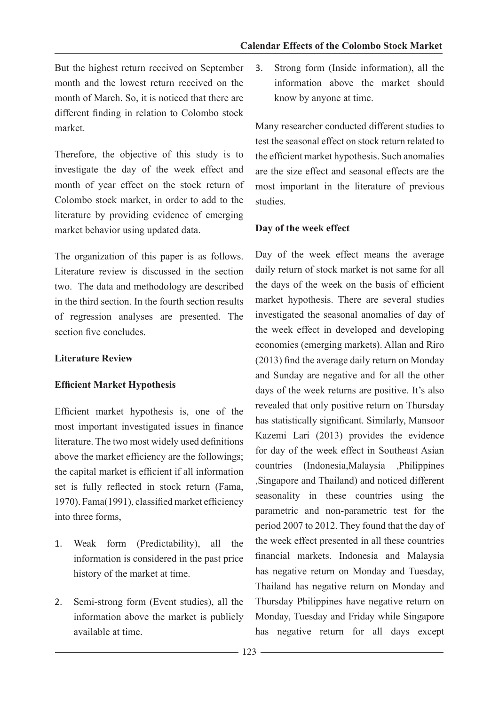But the highest return received on September month and the lowest return received on the month of March. So, it is noticed that there are different finding in relation to Colombo stock market.

Therefore, the objective of this study is to investigate the day of the week effect and month of year effect on the stock return of Colombo stock market, in order to add to the literature by providing evidence of emerging market behavior using updated data.

The organization of this paper is as follows. Literature review is discussed in the section two. The data and methodology are described in the third section. In the fourth section results of regression analyses are presented. The section five concludes.

## **Literature Review**

## **Efficient Market Hypothesis**

Efficient market hypothesis is, one of the most important investigated issues in finance literature. The two most widely used definitions above the market efficiency are the followings; the capital market is efficient if all information set is fully reflected in stock return (Fama, 1970). Fama(1991), classified market efficiency into three forms,

- 1. Weak form (Predictability), all the information is considered in the past price history of the market at time.
- 2. Semi-strong form (Event studies), all the information above the market is publicly available at time.

3. Strong form (Inside information), all the information above the market should know by anyone at time.

Many researcher conducted different studies to test the seasonal effect on stock return related to the efficient market hypothesis. Such anomalies are the size effect and seasonal effects are the most important in the literature of previous studies.

## **Day of the week effect**

Day of the week effect means the average daily return of stock market is not same for all the days of the week on the basis of efficient market hypothesis. There are several studies investigated the seasonal anomalies of day of the week effect in developed and developing economies (emerging markets). Allan and Riro (2013) find the average daily return on Monday and Sunday are negative and for all the other days of the week returns are positive. It's also revealed that only positive return on Thursday has statistically significant. Similarly, Mansoor Kazemi Lari (2013) provides the evidence for day of the week effect in Southeast Asian countries (Indonesia,Malaysia ,Philippines ,Singapore and Thailand) and noticed different seasonality in these countries using the parametric and non-parametric test for the period 2007 to 2012. They found that the day of the week effect presented in all these countries financial markets. Indonesia and Malaysia has negative return on Monday and Tuesday, Thailand has negative return on Monday and Thursday Philippines have negative return on Monday, Tuesday and Friday while Singapore has negative return for all days except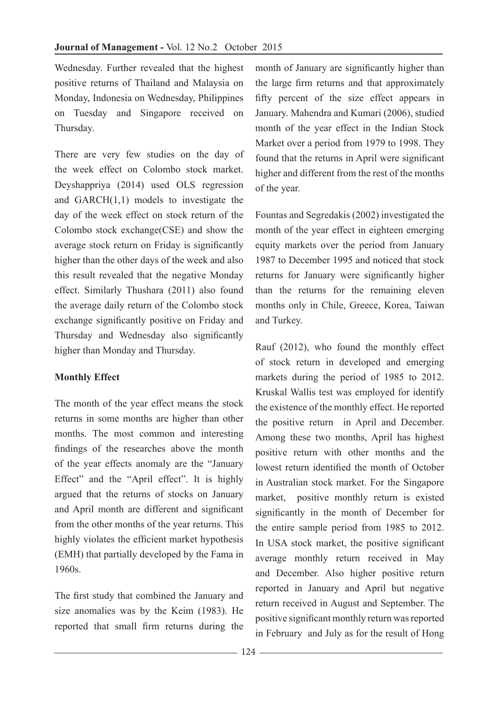Wednesday. Further revealed that the highest positive returns of Thailand and Malaysia on Monday, Indonesia on Wednesday, Philippines on Tuesday and Singapore received on Thursday.

There are very few studies on the day of the week effect on Colombo stock market. Deyshappriya (2014) used OLS regression and GARCH(1,1) models to investigate the day of the week effect on stock return of the Colombo stock exchange(CSE) and show the average stock return on Friday is significantly higher than the other days of the week and also this result revealed that the negative Monday effect. Similarly Thushara (2011) also found the average daily return of the Colombo stock exchange significantly positive on Friday and Thursday and Wednesday also significantly higher than Monday and Thursday.

## **Monthly Effect**

The month of the year effect means the stock returns in some months are higher than other months. The most common and interesting findings of the researches above the month of the year effects anomaly are the "January Effect" and the "April effect". It is highly argued that the returns of stocks on January and April month are different and significant from the other months of the year returns. This highly violates the efficient market hypothesis (EMH) that partially developed by the Fama in 1960s.

The first study that combined the January and size anomalies was by the Keim (1983). He reported that small firm returns during the

month of January are significantly higher than the large firm returns and that approximately fifty percent of the size effect appears in January. Mahendra and Kumari (2006), studied month of the year effect in the Indian Stock Market over a period from 1979 to 1998. They found that the returns in April were significant higher and different from the rest of the months of the year.

Fountas and Segredakis (2002) investigated the month of the year effect in eighteen emerging equity markets over the period from January 1987 to December 1995 and noticed that stock returns for January were significantly higher than the returns for the remaining eleven months only in Chile, Greece, Korea, Taiwan and Turkey.

Rauf (2012), who found the monthly effect of stock return in developed and emerging markets during the period of 1985 to 2012. Kruskal Wallis test was employed for identify the existence of the monthly effect. He reported the positive return in April and December. Among these two months, April has highest positive return with other months and the lowest return identified the month of October in Australian stock market. For the Singapore market, positive monthly return is existed significantly in the month of December for the entire sample period from 1985 to 2012. In USA stock market, the positive significant average monthly return received in May and December. Also higher positive return reported in January and April but negative return received in August and September. The positive significant monthly return was reported in February and July as for the result of Hong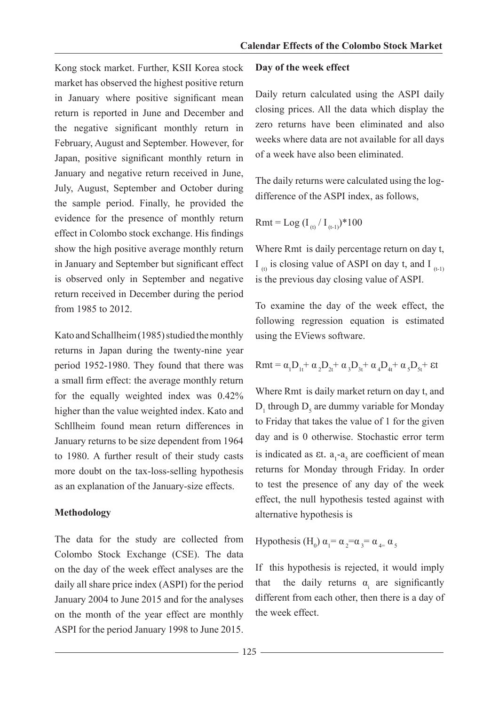Kong stock market. Further, KSII Korea stock market has observed the highest positive return in January where positive significant mean return is reported in June and December and the negative significant monthly return in February, August and September. However, for Japan, positive significant monthly return in January and negative return received in June, July, August, September and October during the sample period. Finally, he provided the evidence for the presence of monthly return effect in Colombo stock exchange. His findings show the high positive average monthly return in January and September but significant effect is observed only in September and negative return received in December during the period from 1985 to 2012.

Kato and Schallheim (1985) studied the monthly returns in Japan during the twenty-nine year period 1952-1980. They found that there was a small firm effect: the average monthly return for the equally weighted index was 0.42% higher than the value weighted index. Kato and Schllheim found mean return differences in January returns to be size dependent from 1964 to 1980. A further result of their study casts more doubt on the tax-loss-selling hypothesis as an explanation of the January-size effects.

## **Methodology**

The data for the study are collected from Colombo Stock Exchange (CSE). The data on the day of the week effect analyses are the daily all share price index (ASPI) for the period January 2004 to June 2015 and for the analyses on the month of the year effect are monthly ASPI for the period January 1998 to June 2015.

#### **Day of the week effect**

Daily return calculated using the ASPI daily closing prices. All the data which display the zero returns have been eliminated and also weeks where data are not available for all days of a week have also been eliminated.

The daily returns were calculated using the logdifference of the ASPI index, as follows,

Rmt = Log 
$$
(I_{(t)}/I_{(t-1)})^*100
$$

Where Rmt is daily percentage return on day t, I  $_{(t)}$  is closing value of ASPI on day t, and I  $_{(t-1)}$ is the previous day closing value of ASPI.

To examine the day of the week effect, the following regression equation is estimated using the EViews software.

$$
Rmt = \alpha_1 D_{1t} + \alpha_2 D_{2t} + \alpha_3 D_{3t} + \alpha_4 D_{4t} + \alpha_5 D_{5t} + \epsilon t
$$

Where Rmt is daily market return on day t, and  $D_1$  through  $D_5$  are dummy variable for Monday to Friday that takes the value of 1 for the given day and is 0 otherwise. Stochastic error term is indicated as  $\epsilon t$ .  $a_1-a_5$  are coefficient of mean returns for Monday through Friday. In order to test the presence of any day of the week effect, the null hypothesis tested against with alternative hypothesis is

Hypothesis (H<sub>0</sub>)  $\alpha_1 = \alpha_2 = \alpha_3 = \alpha_4 = \alpha_5$ 

If this hypothesis is rejected, it would imply that the daily returns  $\alpha_i$  are significantly different from each other, then there is a day of the week effect.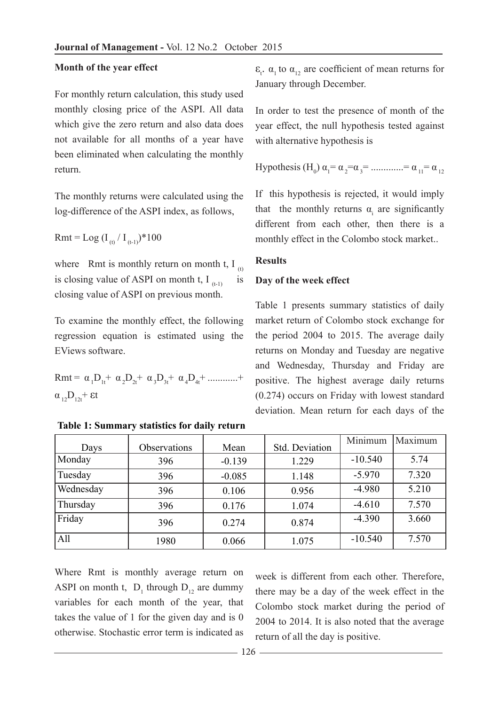#### **Month of the year effect**

For monthly return calculation, this study used monthly closing price of the ASPI. All data which give the zero return and also data does not available for all months of a year have been eliminated when calculating the monthly return.

The monthly returns were calculated using the log-difference of the ASPI index, as follows,

Rmt = Log  $(I_{(t)}/I_{(t-1)})$ \*100

where Rmt is monthly return on month t,  $I_{(t)}$ is closing value of ASPI on month t,  $I_{(t-1)}$  is closing value of ASPI on previous month.

To examine the monthly effect, the following regression equation is estimated using the EViews software.

$$
Rmt = \alpha_1 D_{1t} + \alpha_2 D_{2t} + \alpha_3 D_{3t} + \alpha_4 D_{4t} + \dots +
$$
  

$$
\alpha_{12} D_{12t} + \epsilon t
$$

**Table 1: Summary statistics for daily return**

 $\epsilon_{t}$ ,  $\alpha_{1}$  to  $\alpha_{12}$  are coefficient of mean returns for January through December.

In order to test the presence of month of the year effect, the null hypothesis tested against with alternative hypothesis is

Hypothesis (H<sub>0</sub>) 
$$
\alpha_1 = \alpha_2 = \alpha_3 = \dots = \alpha_{11} = \alpha_{12}
$$

If this hypothesis is rejected, it would imply that the monthly returns  $\alpha_i$  are significantly different from each other, then there is a monthly effect in the Colombo stock market..

#### **Results**

### **Day of the week effect**

Table 1 presents summary statistics of daily market return of Colombo stock exchange for the period 2004 to 2015. The average daily returns on Monday and Tuesday are negative and Wednesday, Thursday and Friday are positive. The highest average daily returns (0.274) occurs on Friday with lowest standard deviation. Mean return for each days of the

| Days      | Observations | Mean     | Std. Deviation | Minimum   | Maximum |
|-----------|--------------|----------|----------------|-----------|---------|
| Monday    | 396          | $-0.139$ | 1.229          | $-10.540$ | 5.74    |
| Tuesday   | 396          | $-0.085$ | 1.148          | $-5.970$  | 7.320   |
| Wednesday | 396          | 0.106    | 0.956          | $-4.980$  | 5.210   |
| Thursday  | 396          | 0.176    | 1.074          | $-4.610$  | 7.570   |
| Friday    | 396          | 0.274    | 0.874          | $-4.390$  | 3.660   |
| All       | 1980         | 0.066    | 1.075          | $-10.540$ | 7.570   |

Where Rmt is monthly average return on ASPI on month t,  $D_1$  through  $D_{12}$  are dummy variables for each month of the year, that takes the value of 1 for the given day and is 0 otherwise. Stochastic error term is indicated as

week is different from each other. Therefore, there may be a day of the week effect in the Colombo stock market during the period of 2004 to 2014. It is also noted that the average return of all the day is positive.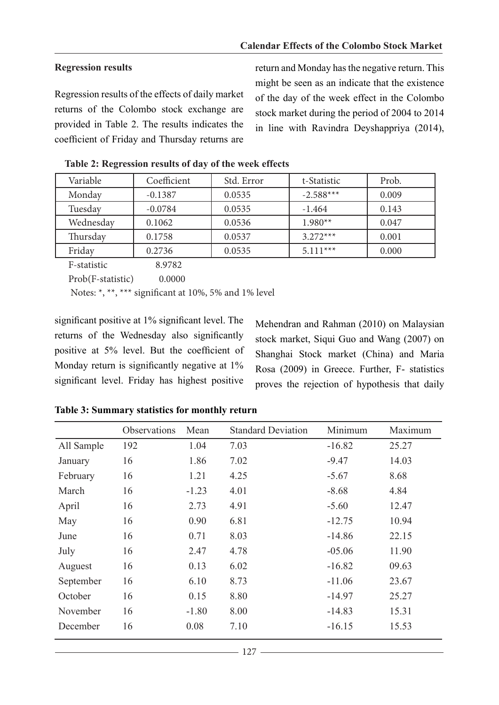## **Regression results**

Regression results of the effects of daily market returns of the Colombo stock exchange are provided in Table 2. The results indicates the coefficient of Friday and Thursday returns are

return and Monday has the negative return. This might be seen as an indicate that the existence of the day of the week effect in the Colombo stock market during the period of 2004 to 2014 in line with Ravindra Deyshappriya (2014),

| Variable  | Coefficient | Std. Error | t-Statistic | Prob. |
|-----------|-------------|------------|-------------|-------|
| Monday    | $-0.1387$   | 0.0535     | $-2.588***$ | 0.009 |
| Tuesday   | $-0.0784$   | 0.0535     | $-1.464$    | 0.143 |
| Wednesday | 0.1062      | 0.0536     | $1.980**$   | 0.047 |
| Thursday  | 0.1758      | 0.0537     | $3.272***$  | 0.001 |
| Friday    | 0.2736      | 0.0535     | $5.111***$  | 0.000 |

**Table 2: Regression results of day of the week effects**

F-statistic 8.9782 Prob(F-statistic) 0.0000

Notes: \*, \*\*, \*\*\* significant at 10%, 5% and 1% level

significant positive at 1% significant level. The returns of the Wednesday also significantly positive at 5% level. But the coefficient of Monday return is significantly negative at  $1\%$ significant level. Friday has highest positive

Mehendran and Rahman (2010) on Malaysian stock market, Siqui Guo and Wang (2007) on Shanghai Stock market (China) and Maria Rosa (2009) in Greece. Further, F- statistics proves the rejection of hypothesis that daily

|            | Observations | Mean    | <b>Standard Deviation</b> | Minimum  | Maximum |
|------------|--------------|---------|---------------------------|----------|---------|
| All Sample | 192          | 1.04    | 7.03                      | $-16.82$ | 25.27   |
| January    | 16           | 1.86    | 7.02                      | $-9.47$  | 14.03   |
| February   | 16           | 1.21    | 4.25                      | $-5.67$  | 8.68    |
| March      | 16           | $-1.23$ | 4.01                      | $-8.68$  | 4.84    |
| April      | 16           | 2.73    | 4.91                      | $-5.60$  | 12.47   |
| May        | 16           | 0.90    | 6.81                      | $-12.75$ | 10.94   |
| June       | 16           | 0.71    | 8.03                      | $-14.86$ | 22.15   |
| July       | 16           | 2.47    | 4.78                      | $-05.06$ | 11.90   |
| Auguest    | 16           | 0.13    | 6.02                      | $-16.82$ | 09.63   |
| September  | 16           | 6.10    | 8.73                      | $-11.06$ | 23.67   |
| October    | 16           | 0.15    | 8.80                      | $-14.97$ | 25.27   |
| November   | 16           | $-1.80$ | 8.00                      | $-14.83$ | 15.31   |
| December   | 16           | 0.08    | 7.10                      | $-16.15$ | 15.53   |

**Table 3: Summary statistics for monthly return**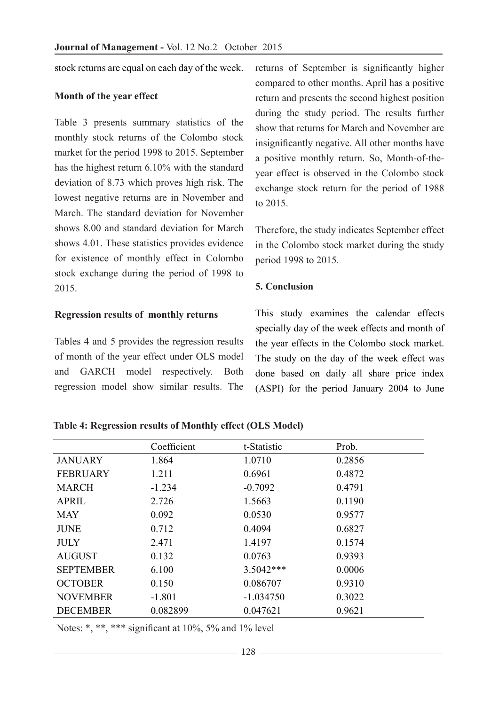stock returns are equal on each day of the week.

#### **Month of the year effect**

Table 3 presents summary statistics of the monthly stock returns of the Colombo stock market for the period 1998 to 2015. September has the highest return 6.10% with the standard deviation of 8.73 which proves high risk. The lowest negative returns are in November and March. The standard deviation for November shows 8.00 and standard deviation for March shows 4.01. These statistics provides evidence for existence of monthly effect in Colombo stock exchange during the period of 1998 to 2015.

## **Regression results of monthly returns**

Tables 4 and 5 provides the regression results of month of the year effect under OLS model and GARCH model respectively. Both regression model show similar results. The returns of September is significantly higher compared to other months. April has a positive return and presents the second highest position during the study period. The results further show that returns for March and November are insignificantly negative. All other months have a positive monthly return. So, Month-of-theyear effect is observed in the Colombo stock exchange stock return for the period of 1988 to 2015.

Therefore, the study indicates September effect in the Colombo stock market during the study period 1998 to 2015.

## **5. Conclusion**

This study examines the calendar effects specially day of the week effects and month of the year effects in the Colombo stock market. The study on the day of the week effect was done based on daily all share price index (ASPI) for the period January 2004 to June

### **Table 4: Regression results of Monthly effect (OLS Model)**

|                  | Coefficient | t-Statistic | Prob.  |
|------------------|-------------|-------------|--------|
| <b>JANUARY</b>   | 1.864       | 1.0710      | 0.2856 |
| <b>FEBRUARY</b>  | 1.211       | 0.6961      | 0.4872 |
| <b>MARCH</b>     | $-1.234$    | $-0.7092$   | 0.4791 |
| <b>APRIL</b>     | 2.726       | 1.5663      | 0.1190 |
| <b>MAY</b>       | 0.092       | 0.0530      | 0.9577 |
| <b>JUNE</b>      | 0.712       | 0.4094      | 0.6827 |
| <b>JULY</b>      | 2.471       | 1.4197      | 0.1574 |
| <b>AUGUST</b>    | 0.132       | 0.0763      | 0.9393 |
| <b>SEPTEMBER</b> | 6.100       | $3.5042***$ | 0.0006 |
| <b>OCTOBER</b>   | 0.150       | 0.086707    | 0.9310 |
| <b>NOVEMBER</b>  | $-1.801$    | $-1.034750$ | 0.3022 |
| <b>DECEMBER</b>  | 0.082899    | 0.047621    | 0.9621 |

Notes: \*, \*\*, \*\*\* significant at 10%, 5% and 1% level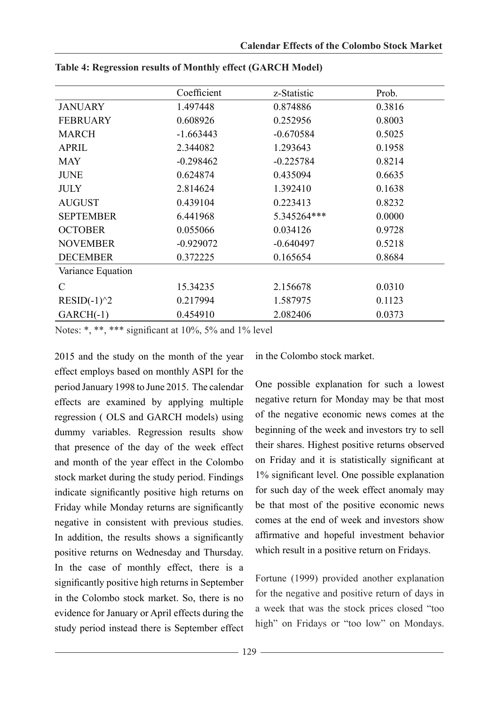|                   | Coefficient | z-Statistic | Prob.  |
|-------------------|-------------|-------------|--------|
| <b>JANUARY</b>    | 1.497448    | 0.874886    | 0.3816 |
| <b>FEBRUARY</b>   | 0.608926    | 0.252956    | 0.8003 |
| <b>MARCH</b>      | $-1.663443$ | $-0.670584$ | 0.5025 |
| <b>APRIL</b>      | 2.344082    | 1.293643    | 0.1958 |
| <b>MAY</b>        | $-0.298462$ | $-0.225784$ | 0.8214 |
| <b>JUNE</b>       | 0.624874    | 0.435094    | 0.6635 |
| <b>JULY</b>       | 2.814624    | 1.392410    | 0.1638 |
| <b>AUGUST</b>     | 0.439104    | 0.223413    | 0.8232 |
| <b>SEPTEMBER</b>  | 6.441968    | 5.345264*** | 0.0000 |
| <b>OCTOBER</b>    | 0.055066    | 0.034126    | 0.9728 |
| <b>NOVEMBER</b>   | $-0.929072$ | $-0.640497$ | 0.5218 |
| <b>DECEMBER</b>   | 0.372225    | 0.165654    | 0.8684 |
| Variance Equation |             |             |        |
| $\mathcal{C}$     | 15.34235    | 2.156678    | 0.0310 |
| $RESID(-1)^2$     | 0.217994    | 1.587975    | 0.1123 |
| $GARCH(-1)$       | 0.454910    | 2.082406    | 0.0373 |

**Table 4: Regression results of Monthly effect (GARCH Model)**

Notes: \*, \*\*, \*\*\* significant at 10%, 5% and 1% level

2015 and the study on the month of the year effect employs based on monthly ASPI for the period January 1998 to June 2015. The calendar effects are examined by applying multiple regression ( OLS and GARCH models) using dummy variables. Regression results show that presence of the day of the week effect and month of the year effect in the Colombo stock market during the study period. Findings indicate significantly positive high returns on Friday while Monday returns are significantly negative in consistent with previous studies. In addition, the results shows a significantly positive returns on Wednesday and Thursday. In the case of monthly effect, there is a significantly positive high returns in September in the Colombo stock market. So, there is no evidence for January or April effects during the study period instead there is September effect in the Colombo stock market.

One possible explanation for such a lowest negative return for Monday may be that most of the negative economic news comes at the beginning of the week and investors try to sell their shares. Highest positive returns observed on Friday and it is statistically significant at 1% significant level. One possible explanation for such day of the week effect anomaly may be that most of the positive economic news comes at the end of week and investors show affirmative and hopeful investment behavior which result in a positive return on Fridays.

Fortune (1999) provided another explanation for the negative and positive return of days in a week that was the stock prices closed "too high" on Fridays or "too low" on Mondays.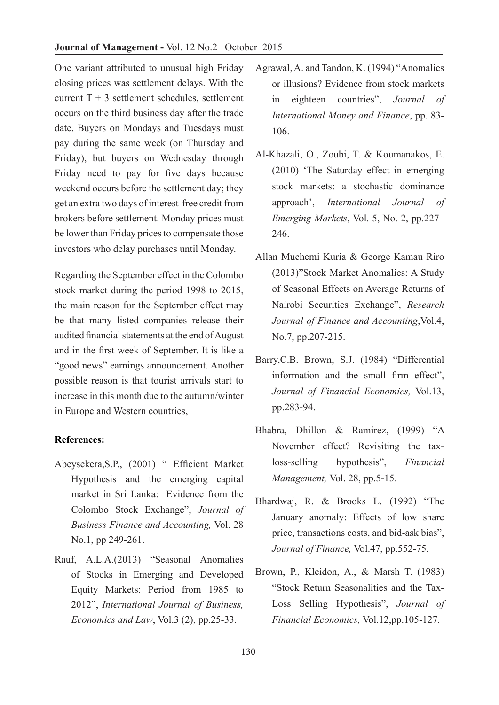One variant attributed to unusual high Friday closing prices was settlement delays. With the current  $T + 3$  settlement schedules, settlement occurs on the third business day after the trade date. Buyers on Mondays and Tuesdays must pay during the same week (on Thursday and Friday), but buyers on Wednesday through Friday need to pay for five days because weekend occurs before the settlement day; they get an extra two days of interest-free credit from brokers before settlement. Monday prices must be lower than Friday prices to compensate those investors who delay purchases until Monday.

Regarding the September effect in the Colombo stock market during the period 1998 to 2015, the main reason for the September effect may be that many listed companies release their audited financial statements at the end of August and in the first week of September. It is like a "good news" earnings announcement. Another possible reason is that tourist arrivals start to increase in this month due to the autumn/winter in Europe and Western countries,

# **References:**

- Abeysekera,S.P., (2001) " Efficient Market Hypothesis and the emerging capital market in Sri Lanka: Evidence from the Colombo Stock Exchange", *Journal of Business Finance and Accounting,* Vol. 28 No.1, pp 249-261.
- Rauf, A.L.A.(2013) "Seasonal Anomalies of Stocks in Emerging and Developed Equity Markets: Period from 1985 to 2012", *International Journal of Business, Economics and Law*, Vol.3 (2), pp.25-33.
- Agrawal, A. and Tandon, K. (1994) "Anomalies or illusions? Evidence from stock markets in eighteen countries", *Journal of International Money and Finance*, pp. 83- 106.
- Al-Khazali, O., Zoubi, T. & Koumanakos, E. (2010) 'The Saturday effect in emerging stock markets: a stochastic dominance approach', *International Journal of Emerging Markets*, Vol. 5, No. 2, pp.227– 246.
- Allan Muchemi Kuria & George Kamau Riro (2013)"Stock Market Anomalies: A Study of Seasonal Effects on Average Returns of Nairobi Securities Exchange", *Research Journal of Finance and Accounting*,Vol.4, No.7, pp.207-215.
- Barry,C.B. Brown, S.J. (1984) "Differential information and the small firm effect", *Journal of Financial Economics,* Vol.13, pp.283-94.
- Bhabra, Dhillon & Ramirez, (1999) "A November effect? Revisiting the taxloss-selling hypothesis", *Financial Management,* Vol. 28, pp.5-15.
- Bhardwaj, R. & Brooks L. (1992) "The January anomaly: Effects of low share price, transactions costs, and bid-ask bias", *Journal of Finance,* Vol.47, pp.552-75.
- Brown, P., Kleidon, A., & Marsh T. (1983) "Stock Return Seasonalities and the Tax-Loss Selling Hypothesis", *Journal of Financial Economics,* Vol.12,pp.105-127.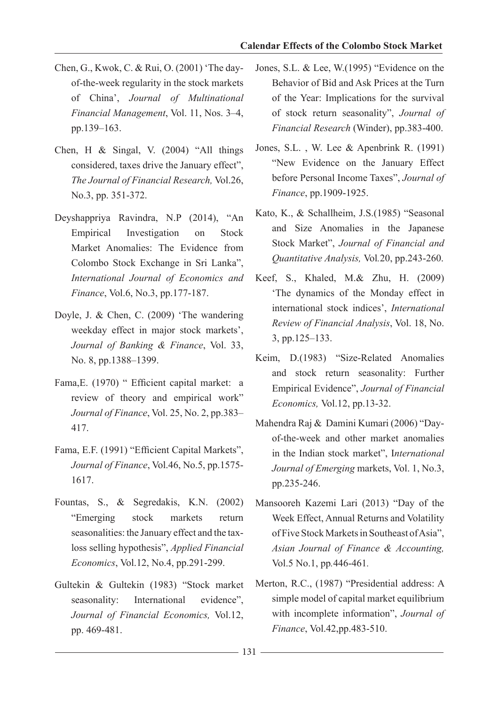- Chen, G., Kwok, C. & Rui, O. (2001) 'The dayof-the-week regularity in the stock markets of China', *Journal of Multinational Financial Management*, Vol. 11, Nos. 3–4, pp.139–163.
- Chen, H & Singal, V. (2004) "All things considered, taxes drive the January effect", *The Journal of Financial Research,* Vol.26, No.3, pp. 351-372.
- Deyshappriya Ravindra, N.P (2014), "An Empirical Investigation on Stock Market Anomalies: The Evidence from Colombo Stock Exchange in Sri Lanka", *International Journal of Economics and Finance*, Vol.6, No.3, pp.177-187.
- Doyle, J. & Chen, C. (2009) 'The wandering weekday effect in major stock markets', *Journal of Banking & Finance*, Vol. 33, No. 8, pp.1388–1399.
- Fama, E. (1970) " Efficient capital market: a review of theory and empirical work" *Journal of Finance*, Vol. 25, No. 2, pp.383– 417.
- Fama, E.F. (1991) "Efficient Capital Markets", *Journal of Finance*, Vol.46, No.5, pp.1575- 1617.
- Fountas, S., & Segredakis, K.N. (2002) "Emerging stock markets return seasonalities: the January effect and the taxloss selling hypothesis", *Applied Financial Economics*, Vol.12, No.4, pp.291-299.
- Gultekin & Gultekin (1983) "Stock market seasonality: International evidence", *Journal of Financial Economics,* Vol.12, pp. 469-481.
- Jones, S.L. & Lee, W.(1995) "Evidence on the Behavior of Bid and Ask Prices at the Turn of the Year: Implications for the survival of stock return seasonality", *Journal of Financial Research* (Winder), pp.383-400.
- Jones, S.L. , W. Lee & Apenbrink R. (1991) "New Evidence on the January Effect before Personal Income Taxes", *Journal of Finance*, pp.1909-1925.
- Kato, K., & Schallheim, J.S.(1985) "Seasonal and Size Anomalies in the Japanese Stock Market", *Journal of Financial and Quantitative Analysis,* Vol*.*20, pp.243-260.
- Keef, S., Khaled, M.& Zhu, H. (2009) 'The dynamics of the Monday effect in international stock indices', *International Review of Financial Analysis*, Vol. 18, No. 3, pp.125–133.
- Keim, D.(1983) "Size-Related Anomalies and stock return seasonality: Further Empirical Evidence", *Journal of Financial Economics,* Vol.12, pp.13-32.
- Mahendra Raj & Damini Kumari (2006) "Dayof-the-week and other market anomalies in the Indian stock market", I*nternational Journal of Emerging* markets, Vol. 1, No.3, pp.235-246.
- Mansooreh Kazemi Lari (2013) "Day of the Week Effect, Annual Returns and Volatility of Five Stock Markets in Southeast of Asia", *Asian Journal of Finance & Accounting,*  Vol.5 No.1, pp*.*446-461*.*
- Merton, R.C., (1987) "Presidential address: A simple model of capital market equilibrium with incomplete information", *Journal of Finance*, Vol.42,pp.483-510.